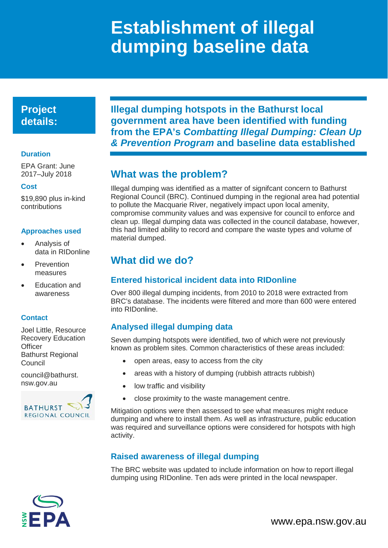# **Establishment of illegal dumping baseline data**

# **Project details:**

#### **Duration**

EPA Grant: June 2017–July 2018

#### **Cost**

\$19,890 plus in-kind contributions

### **Approaches used**

- Analysis of data in RIDonline
- **Prevention** measures
- **Education and** awareness

### **Contact**

Joel Little, Resource Recovery Education **Officer** Bathurst Regional Council

[council@bathurst.](mailto:council@bankstown.nsw.gov.au) [nsw.gov.au](mailto:council@bankstown.nsw.gov.au)



**Illegal dumping hotspots in the Bathurst local government area have been identified with funding from the EPA's** *Combatting Illegal Dumping: Clean Up & Prevention Program* **and baseline data established**

# **What was the problem?**

Illegal dumping was identified as a matter of signifcant concern to Bathurst Regional Council (BRC). Continued dumping in the regional area had potential to pollute the Macquarie River, negatively impact upon local amenity, compromise community values and was expensive for council to enforce and clean up. Illegal dumping data was collected in the council database, however, this had limited ability to record and compare the waste types and volume of material dumped.

# **What did we do?**

### **Entered historical incident data into RIDonline**

Over 800 illegal dumping incidents, from 2010 to 2018 were extracted from BRC's database. The incidents were filtered and more than 600 were entered into RIDonline.

### **Analysed illegal dumping data**

Seven dumping hotspots were identified, two of which were not previously known as problem sites. Common characteristics of these areas included:

- open areas, easy to access from the city
- areas with a history of dumping (rubbish attracts rubbish)
- low traffic and visibility
- close proximity to the waste management centre.

Mitigation options were then assessed to see what measures might reduce dumping and where to install them. As well as infrastructure, public education was required and surveillance options were considered for hotspots with high activity.

### **Raised awareness of illegal dumping**

The BRC website was updated to include information on how to report illegal dumping using RIDonline. Ten ads were printed in the local newspaper.



www.epa.nsw.gov.au